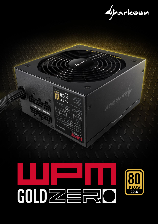

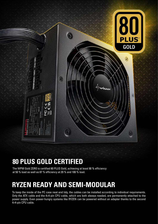

#### **80 PLUS GOLD CERTIFIED**

The WPM Gold ZERO is certified 80 PLUS Gold, achieving at least 90 % efficiency at 50 % load as well as 87 % efficiency at 20 % and 100 % load.

## **RYZEN READY AND SEMI-MODULAR**

To keep the inside of the PC case neat and tidy, the cables can be installed according to individual requirements. Only the ATX cable and the 4+4-pin CPU cable, which are both always needed, are permanently attached to the power supply. Even power-hungry systems like RYZEN can be powered without an adapter thanks to the second 4+4-pin CPU cable.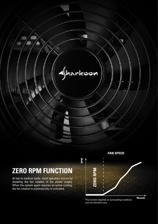

**RPM**

## **ZERO RPM FUNCTION**

At low to medium loads, silent operation occurs by disabling the fan rotation of the power supply. When the system again requires an active cooling, the fan rotation is automatically re-activated.

**FAN SPEED**



and can therefore vary.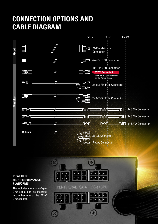## **CONNECTION OPTIONS AND CABLE DIAGRAM**